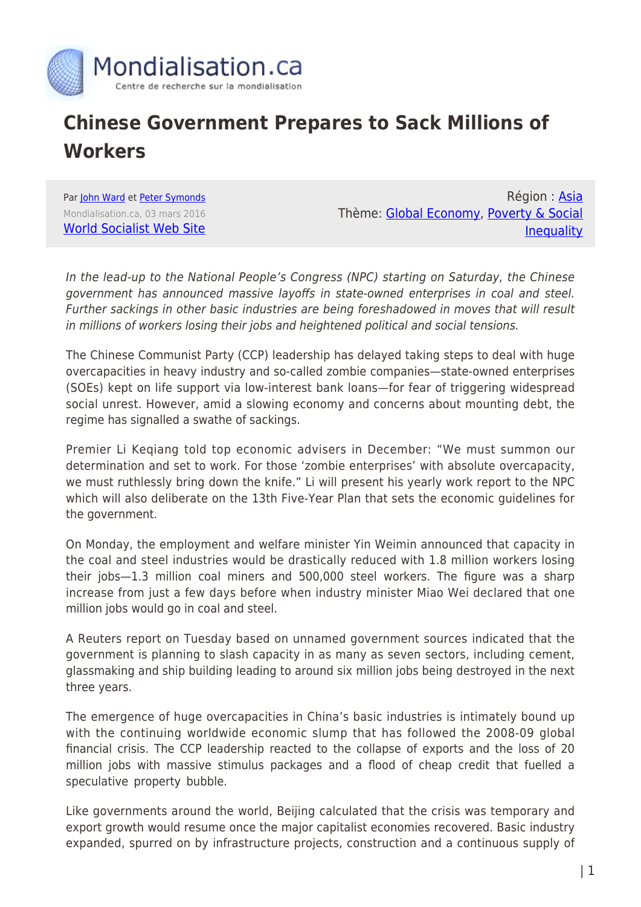

## **Chinese Government Prepares to Sack Millions of Workers**

Par [John Ward](https://www.mondialisation.ca/author/john-ward) et [Peter Symonds](https://www.mondialisation.ca/author/peter-symonds) Mondialisation.ca, 03 mars 2016 [World Socialist Web Site](http://www.wsws.org/en/articles/2016/03/03/chin-m03.html)

Région : [Asia](https://www.mondialisation.ca/region/asia) Thème: [Global Economy](https://www.mondialisation.ca/theme/global-economy), [Poverty & Social](https://www.mondialisation.ca/theme/poverty-social-inequality) **[Inequality](https://www.mondialisation.ca/theme/poverty-social-inequality)** 

In the lead-up to the National People's Congress (NPC) starting on Saturday, the Chinese government has announced massive layoffs in state-owned enterprises in coal and steel. Further sackings in other basic industries are being foreshadowed in moves that will result in millions of workers losing their jobs and heightened political and social tensions.

The Chinese Communist Party (CCP) leadership has delayed taking steps to deal with huge overcapacities in heavy industry and so-called zombie companies—state-owned enterprises (SOEs) kept on life support via low-interest bank loans—for fear of triggering widespread social unrest. However, amid a slowing economy and concerns about mounting debt, the regime has signalled a swathe of sackings.

Premier Li Keqiang told top economic advisers in December: "We must summon our determination and set to work. For those 'zombie enterprises' with absolute overcapacity, we must ruthlessly bring down the knife." Li will present his yearly work report to the NPC which will also deliberate on the 13th Five-Year Plan that sets the economic guidelines for the government.

On Monday, the employment and welfare minister Yin Weimin announced that capacity in the coal and steel industries would be drastically reduced with 1.8 million workers losing their jobs—1.3 million coal miners and 500,000 steel workers. The figure was a sharp increase from just a few days before when industry minister Miao Wei declared that one million jobs would go in coal and steel.

A Reuters report on Tuesday based on unnamed government sources indicated that the government is planning to slash capacity in as many as seven sectors, including cement, glassmaking and ship building leading to around six million jobs being destroyed in the next three years.

The emergence of huge overcapacities in China's basic industries is intimately bound up with the continuing worldwide economic slump that has followed the 2008-09 global financial crisis. The CCP leadership reacted to the collapse of exports and the loss of 20 million jobs with massive stimulus packages and a flood of cheap credit that fuelled a speculative property bubble.

Like governments around the world, Beijing calculated that the crisis was temporary and export growth would resume once the major capitalist economies recovered. Basic industry expanded, spurred on by infrastructure projects, construction and a continuous supply of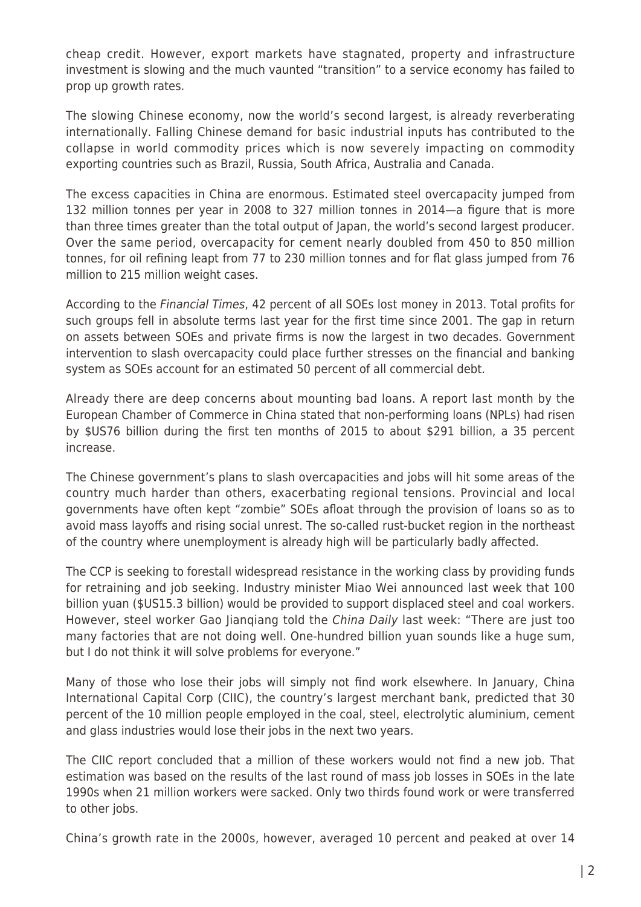cheap credit. However, export markets have stagnated, property and infrastructure investment is slowing and the much vaunted "transition" to a service economy has failed to prop up growth rates.

The slowing Chinese economy, now the world's second largest, is already reverberating internationally. Falling Chinese demand for basic industrial inputs has contributed to the collapse in world commodity prices which is now severely impacting on commodity exporting countries such as Brazil, Russia, South Africa, Australia and Canada.

The excess capacities in China are enormous. Estimated steel overcapacity jumped from 132 million tonnes per year in 2008 to 327 million tonnes in 2014—a figure that is more than three times greater than the total output of Japan, the world's second largest producer. Over the same period, overcapacity for cement nearly doubled from 450 to 850 million tonnes, for oil refining leapt from 77 to 230 million tonnes and for flat glass jumped from 76 million to 215 million weight cases.

According to the Financial Times, 42 percent of all SOEs lost money in 2013. Total profits for such groups fell in absolute terms last year for the first time since 2001. The gap in return on assets between SOEs and private firms is now the largest in two decades. Government intervention to slash overcapacity could place further stresses on the financial and banking system as SOEs account for an estimated 50 percent of all commercial debt.

Already there are deep concerns about mounting bad loans. A report last month by the European Chamber of Commerce in China stated that non-performing loans (NPLs) had risen by \$US76 billion during the first ten months of 2015 to about \$291 billion, a 35 percent increase.

The Chinese government's plans to slash overcapacities and jobs will hit some areas of the country much harder than others, exacerbating regional tensions. Provincial and local governments have often kept "zombie" SOEs afloat through the provision of loans so as to avoid mass layoffs and rising social unrest. The so-called rust-bucket region in the northeast of the country where unemployment is already high will be particularly badly affected.

The CCP is seeking to forestall widespread resistance in the working class by providing funds for retraining and job seeking. Industry minister Miao Wei announced last week that 100 billion yuan (\$US15.3 billion) would be provided to support displaced steel and coal workers. However, steel worker Gao Jianqiang told the China Daily last week: "There are just too many factories that are not doing well. One-hundred billion yuan sounds like a huge sum, but I do not think it will solve problems for everyone."

Many of those who lose their jobs will simply not find work elsewhere. In January, China International Capital Corp (CIIC), the country's largest merchant bank, predicted that 30 percent of the 10 million people employed in the coal, steel, electrolytic aluminium, cement and glass industries would lose their jobs in the next two years.

The CIIC report concluded that a million of these workers would not find a new job. That estimation was based on the results of the last round of mass job losses in SOEs in the late 1990s when 21 million workers were sacked. Only two thirds found work or were transferred to other jobs.

China's growth rate in the 2000s, however, averaged 10 percent and peaked at over 14